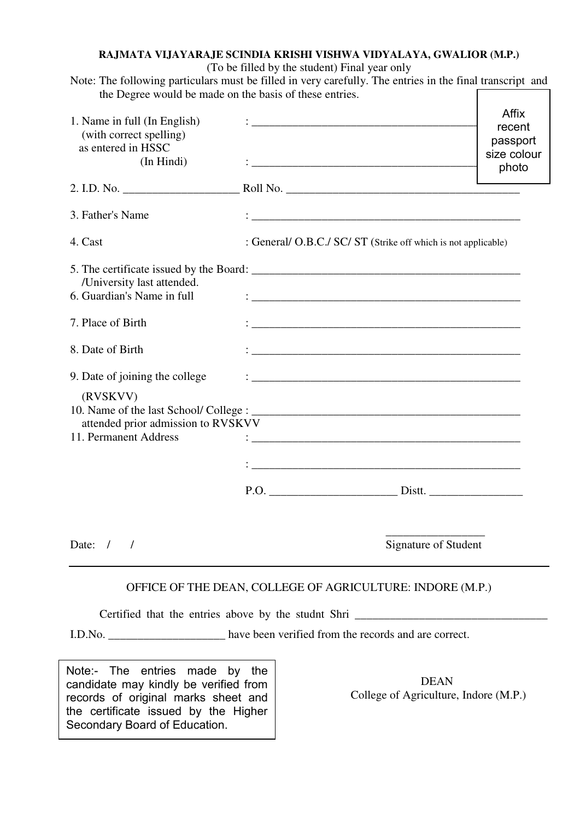## **RAJMATA VIJAYARAJE SCINDIA KRISHI VISHWA VIDYALAYA, GWALIOR (M.P.)**

(To be filled by the student) Final year only

Note: The following particulars must be filled in very carefully. The entries in the final transcript and the Degree would be made on the basis of these entries.

| 1. Name in full (In English)<br>(with correct spelling)<br>as entered in HSSC<br>(In Hindi) | <u> 1980 - Johann Barbara, martxa alemaniar a</u>                                                                    | <b>Affix</b><br>recent<br>passport<br>size colour<br>photo |
|---------------------------------------------------------------------------------------------|----------------------------------------------------------------------------------------------------------------------|------------------------------------------------------------|
| 2. I.D. No.                                                                                 |                                                                                                                      |                                                            |
| 3. Father's Name                                                                            | <u> 1989 - Johann John Stone, markin film yn y brenin y brenin y brenin y brenin y brenin y brenin y brenin y br</u> |                                                            |
| 4. Cast                                                                                     | : General/ O.B.C./ SC/ ST (Strike off which is not applicable)                                                       |                                                            |
| /University last attended.<br>6. Guardian's Name in full                                    |                                                                                                                      |                                                            |
| 7. Place of Birth                                                                           |                                                                                                                      |                                                            |
| 8. Date of Birth                                                                            |                                                                                                                      |                                                            |
| 9. Date of joining the college                                                              |                                                                                                                      |                                                            |
| (RVSKVV)<br>attended prior admission to RVSKVV                                              |                                                                                                                      |                                                            |
| 11. Permanent Address                                                                       |                                                                                                                      |                                                            |
|                                                                                             |                                                                                                                      |                                                            |
| Date: $/$ /                                                                                 | Signature of Student                                                                                                 |                                                            |
|                                                                                             |                                                                                                                      |                                                            |

## OFFICE OF THE DEAN, COLLEGE OF AGRICULTURE: INDORE (M.P.)

Certified that the entries above by the studnt Shri \_\_\_\_\_\_\_\_\_\_\_\_\_\_\_\_\_\_\_\_\_\_\_\_\_\_\_\_\_\_\_\_\_

I.D.No. \_\_\_\_\_\_\_\_\_\_\_\_\_\_\_\_\_\_\_\_ have been verified from the records and are correct.

 DEAN candidate may kindly be verified from records of original marks sheet and **College of Agriculture, Indore (M.P.)** Note:- The entries made by the the certificate issued by the Higher Secondary Board of Education.